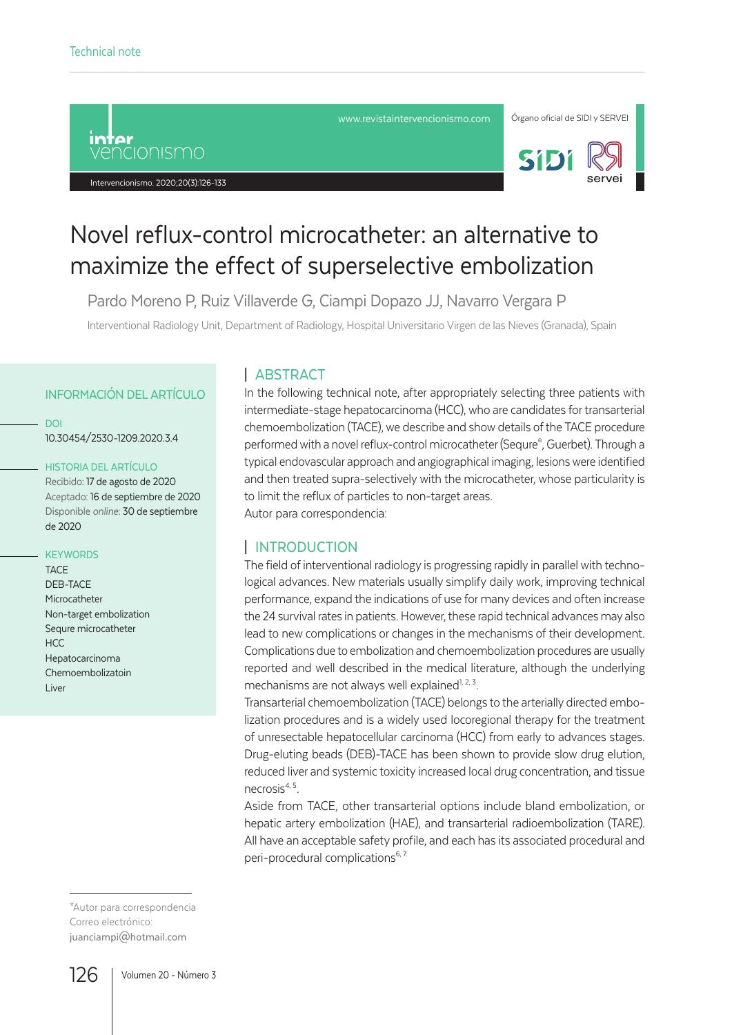

#### Intervencionismo. 2020;20(3):126-133





# Novel reflux-control microcatheter: an alternative to maximize the effect of superselective embolization

Pardo Moreno P, Ruiz Villaverde G, Ciampi Dopazo JJ, Navarro Vergara P

Interventional Radiology Unit, Department of Radiology, Hospital Universitario Virgen de las Nieves (Granada), Spain

#### INFORMACIÓN DEL ARTÍCULO

DOI

10.30454/2530-1209.2020.3.4

#### HISTORIA DEL ARTÍCULO

Recibido: 17 de agosto de 2020 Aceptado: 16 de septiembre de 2020 Disponible *online*: 30 de septiembre de 2020

#### **KEYWORDS**

**TACE** DEB-TACE Microcatheter Non-target embolization Sequre microcatheter  $HCC$ Hepatocarcinoma Chemoembolizatoin Liver

# | ABSTRACT

In the following technical note, after appropriately selecting three patients with intermediate-stage hepatocarcinoma (HCC), who are candidates for transarterial chemoembolization (TACE), we describe and show details of the TACE procedure performed with a novel reflux-control microcatheter (Sequre® , Guerbet). Through a typical endovascular approach and angiographical imaging, lesions were identified and then treated supra-selectively with the microcatheter, whose particularity is to limit the reflux of particles to non-target areas. Autor para correspondencia:

## | INTRODUCTION

The field of interventional radiology is progressing rapidly in parallel with technological advances. New materials usually simplify daily work, improving technical performance, expand the indications of use for many devices and often increase the 24 survival rates in patients. However, these rapid technical advances may also lead to new complications or changes in the mechanisms of their development. Complications due to embolization and chemoembolization procedures are usually reported and well described in the medical literature, although the underlying mechanisms are not always well explained<sup> $1, 2, 3$ </sup>.

Transarterial chemoembolization (TACE) belongs to the arterially directed embolization procedures and is a widely used locoregional therapy for the treatment of unresectable hepatocellular carcinoma (HCC) from early to advances stages. Drug-eluting beads (DEB)-TACE has been shown to provide slow drug elution, reduced liver and systemic toxicity increased local drug concentration, and tissue necrosis4, 5.

Aside from TACE, other transarterial options include bland embolization, or hepatic artery embolization (HAE), and transarterial radioembolization (TARE). All have an acceptable safety profile, and each has its associated procedural and peri-procedural complications<sup>6, 7.</sup>

\*Autor para correspondencia Correo electrónico: juanciampi@hotmail.com

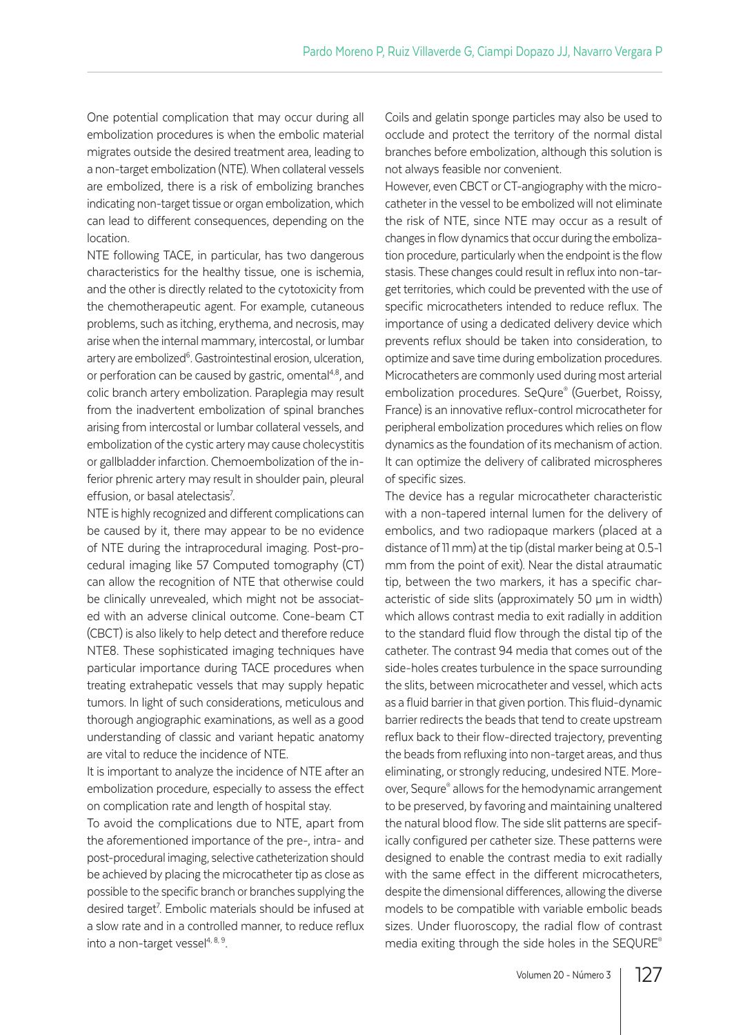One potential complication that may occur during all embolization procedures is when the embolic material migrates outside the desired treatment area, leading to a non-target embolization (NTE). When collateral vessels are embolized, there is a risk of embolizing branches indicating non-target tissue or organ embolization, which can lead to different consequences, depending on the location.

NTE following TACE, in particular, has two dangerous characteristics for the healthy tissue, one is ischemia, and the other is directly related to the cytotoxicity from the chemotherapeutic agent. For example, cutaneous problems, such as itching, erythema, and necrosis, may arise when the internal mammary, intercostal, or lumbar artery are embolized<sup>6</sup>. Gastrointestinal erosion, ulceration, or perforation can be caused by gastric, omental $4,8$ , and colic branch artery embolization. Paraplegia may result from the inadvertent embolization of spinal branches arising from intercostal or lumbar collateral vessels, and embolization of the cystic artery may cause cholecystitis or gallbladder infarction. Chemoembolization of the inferior phrenic artery may result in shoulder pain, pleural effusion, or basal atelectasis<sup>7</sup>. .

NTE is highly recognized and different complications can be caused by it, there may appear to be no evidence of NTE during the intraprocedural imaging. Post-procedural imaging like 57 Computed tomography (CT) can allow the recognition of NTE that otherwise could be clinically unrevealed, which might not be associated with an adverse clinical outcome. Cone-beam CT (CBCT) is also likely to help detect and therefore reduce NTE8. These sophisticated imaging techniques have particular importance during TACE procedures when treating extrahepatic vessels that may supply hepatic tumors. In light of such considerations, meticulous and thorough angiographic examinations, as well as a good understanding of classic and variant hepatic anatomy are vital to reduce the incidence of NTE.

It is important to analyze the incidence of NTE after an embolization procedure, especially to assess the effect on complication rate and length of hospital stay.

To avoid the complications due to NTE, apart from the aforementioned importance of the pre-, intra- and post-procedural imaging, selective catheterization should be achieved by placing the microcatheter tip as close as possible to the specific branch or branches supplying the desired target<sup>7</sup>. Embolic materials should be infused at a slow rate and in a controlled manner, to reduce reflux into a non-target vessel $4, 8, 9$ .

Coils and gelatin sponge particles may also be used to occlude and protect the territory of the normal distal branches before embolization, although this solution is not always feasible nor convenient.

However, even CBCT or CT-angiography with the microcatheter in the vessel to be embolized will not eliminate the risk of NTE, since NTE may occur as a result of changes in flow dynamics that occur during the embolization procedure, particularly when the endpoint is the flow stasis. These changes could result in reflux into non-target territories, which could be prevented with the use of specific microcatheters intended to reduce reflux. The importance of using a dedicated delivery device which prevents reflux should be taken into consideration, to optimize and save time during embolization procedures. Microcatheters are commonly used during most arterial embolization procedures. SeQure® (Guerbet, Roissy, France) is an innovative reflux-control microcatheter for peripheral embolization procedures which relies on flow dynamics as the foundation of its mechanism of action. It can optimize the delivery of calibrated microspheres of specific sizes.

The device has a regular microcatheter characteristic with a non-tapered internal lumen for the delivery of embolics, and two radiopaque markers (placed at a distance of 11 mm) at the tip (distal marker being at 0.5-1 mm from the point of exit). Near the distal atraumatic tip, between the two markers, it has a specific characteristic of side slits (approximately 50 µm in width) which allows contrast media to exit radially in addition to the standard fluid flow through the distal tip of the catheter. The contrast 94 media that comes out of the side-holes creates turbulence in the space surrounding the slits, between microcatheter and vessel, which acts as a fluid barrier in that given portion. This fluid-dynamic barrier redirects the beads that tend to create upstream reflux back to their flow-directed trajectory, preventing the beads from refluxing into non-target areas, and thus eliminating, or strongly reducing, undesired NTE. Moreover, Sequre® allows for the hemodynamic arrangement to be preserved, by favoring and maintaining unaltered the natural blood flow. The side slit patterns are specifically configured per catheter size. These patterns were designed to enable the contrast media to exit radially with the same effect in the different microcatheters, despite the dimensional differences, allowing the diverse models to be compatible with variable embolic beads sizes. Under fluoroscopy, the radial flow of contrast media exiting through the side holes in the SEQURE®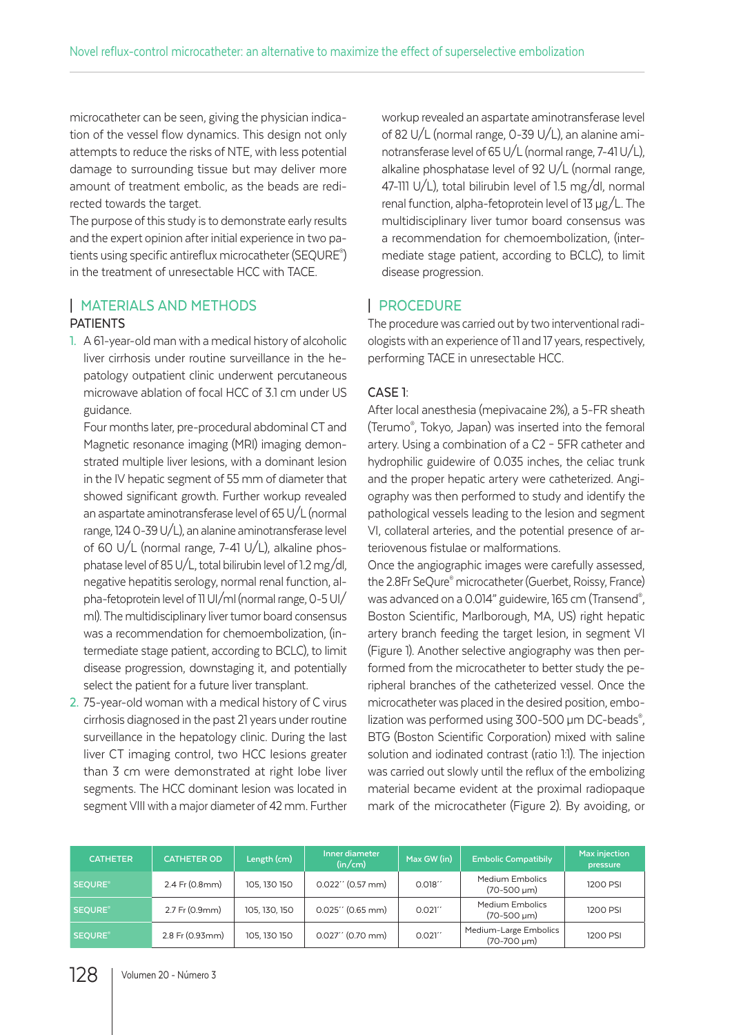microcatheter can be seen, giving the physician indication of the vessel flow dynamics. This design not only attempts to reduce the risks of NTE, with less potential damage to surrounding tissue but may deliver more amount of treatment embolic, as the beads are redirected towards the target.

The purpose of this study is to demonstrate early results and the expert opinion after initial experience in two patients using specific antireflux microcatheter (SEQURE® ) in the treatment of unresectable HCC with TACE.

# | MATERIALS AND METHODS PATIENTS

1. A 61-year-old man with a medical history of alcoholic liver cirrhosis under routine surveillance in the hepatology outpatient clinic underwent percutaneous microwave ablation of focal HCC of 3.1 cm under US guidance.

Four months later, pre-procedural abdominal CT and Magnetic resonance imaging (MRI) imaging demonstrated multiple liver lesions, with a dominant lesion in the IV hepatic segment of 55 mm of diameter that showed significant growth. Further workup revealed an aspartate aminotransferase level of 65 U/L (normal range, 124 0-39 U/L), an alanine aminotransferase level of 60 U/L (normal range, 7-41 U/L), alkaline phosphatase level of 85 U/L, total bilirubin level of 1.2 mg/dl, negative hepatitis serology, normal renal function, alpha-fetoprotein level of 11 UI/ml (normal range, 0-5 UI/ ml). The multidisciplinary liver tumor board consensus was a recommendation for chemoembolization, (intermediate stage patient, according to BCLC), to limit disease progression, downstaging it, and potentially select the patient for a future liver transplant.

2. 75-year-old woman with a medical history of C virus cirrhosis diagnosed in the past 21 years under routine surveillance in the hepatology clinic. During the last liver CT imaging control, two HCC lesions greater than 3 cm were demonstrated at right lobe liver segments. The HCC dominant lesion was located in segment VIII with a major diameter of 42 mm. Further workup revealed an aspartate aminotransferase level of 82 U/L (normal range, 0-39 U/L), an alanine aminotransferase level of 65 U/L (normal range, 7-41 U/L), alkaline phosphatase level of 92 U/L (normal range, 47-111 U/L), total bilirubin level of 1.5 mg/dl, normal renal function, alpha-fetoprotein level of 13 µg/L. The multidisciplinary liver tumor board consensus was a recommendation for chemoembolization, (intermediate stage patient, according to BCLC), to limit disease progression.

## | PROCEDURE

The procedure was carried out by two interventional radiologists with an experience of 11 and 17 years, respectively, performing TACE in unresectable HCC.

#### CASE 1:

After local anesthesia (mepivacaine 2%), a 5-FR sheath (Terumo® , Tokyo, Japan) was inserted into the femoral artery. Using a combination of a C2 – 5FR catheter and hydrophilic guidewire of 0.035 inches, the celiac trunk and the proper hepatic artery were catheterized. Angiography was then performed to study and identify the pathological vessels leading to the lesion and segment VI, collateral arteries, and the potential presence of arteriovenous fistulae or malformations.

Once the angiographic images were carefully assessed, the 2.8Fr SeQure® microcatheter (Guerbet, Roissy, France) was advanced on a 0.014" guidewire, 165 cm (Transend®, Boston Scientific, Marlborough, MA, US) right hepatic artery branch feeding the target lesion, in segment VI (Figure 1). Another selective angiography was then performed from the microcatheter to better study the peripheral branches of the catheterized vessel. Once the microcatheter was placed in the desired position, embolization was performed using 300-500 µm DC-beads®, BTG (Boston Scientific Corporation) mixed with saline solution and iodinated contrast (ratio 1:1). The injection was carried out slowly until the reflux of the embolizing material became evident at the proximal radiopaque mark of the microcatheter (Figure 2). By avoiding, or

| <b>CATHETER</b>           | <b>CATHETER OD</b> | Length (cm)   | Inner diameter<br>(in/cm) | Max GW (in) | <b>Embolic Compatibily</b>                        | <b>Max injection</b><br>pressure |
|---------------------------|--------------------|---------------|---------------------------|-------------|---------------------------------------------------|----------------------------------|
| <b>SEOURE<sup>®</sup></b> | 2.4 Fr (0.8mm)     | 105, 130 150  | $0.022''$ (0.57 mm)       | 0.018'      | <b>Medium Embolics</b><br>$(70 - 500 \text{ um})$ | 1200 PSI                         |
| <b>SEOURE<sup>®</sup></b> | 2.7 Fr (0.9mm)     | 105, 130, 150 | $0.025''$ (0.65 mm)       | 0.021''     | <b>Medium Embolics</b><br>$(70 - 500 \mu m)$      | 1200 PSI                         |
| <b>SEOURE<sup>®</sup></b> | 2.8 Fr (0.93mm)    | 105, 130 150  | $0.027''$ (0.70 mm)       | 0.021'      | Medium-Large Embolics<br>$(70-700 \mu m)$         | 1200 PSI                         |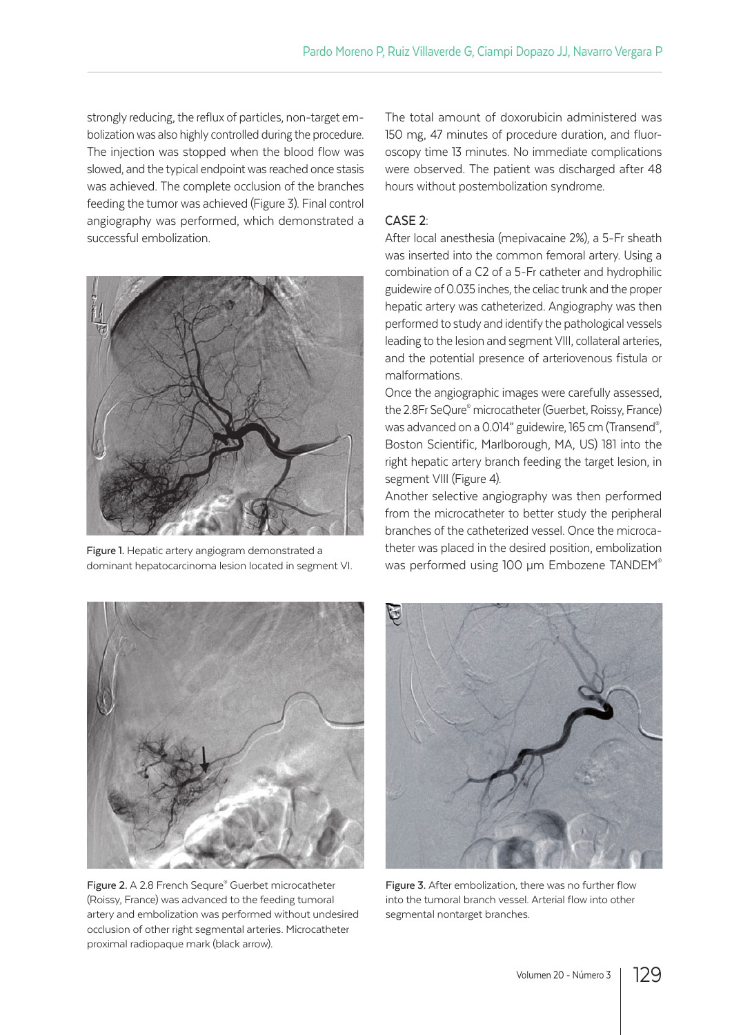strongly reducing, the reflux of particles, non-target embolization was also highly controlled during the procedure. The injection was stopped when the blood flow was slowed, and the typical endpoint was reached once stasis was achieved. The complete occlusion of the branches feeding the tumor was achieved (Figure 3). Final control angiography was performed, which demonstrated a successful embolization.



Figure 1. Hepatic artery angiogram demonstrated a dominant hepatocarcinoma lesion located in segment VI.



Figure 2. A 2.8 French Sequre® Guerbet microcatheter (Roissy, France) was advanced to the feeding tumoral artery and embolization was performed without undesired occlusion of other right segmental arteries. Microcatheter proximal radiopaque mark (black arrow).

The total amount of doxorubicin administered was 150 mg, 47 minutes of procedure duration, and fluoroscopy time 13 minutes. No immediate complications were observed. The patient was discharged after 48 hours without postembolization syndrome.

#### CASE 2:

After local anesthesia (mepivacaine 2%), a 5-Fr sheath was inserted into the common femoral artery. Using a combination of a C2 of a 5-Fr catheter and hydrophilic guidewire of 0.035 inches, the celiac trunk and the proper hepatic artery was catheterized. Angiography was then performed to study and identify the pathological vessels leading to the lesion and segment VIII, collateral arteries, and the potential presence of arteriovenous fistula or malformations.

Once the angiographic images were carefully assessed, the 2.8Fr SeQure® microcatheter (Guerbet, Roissy, France) was advanced on a 0.014" guidewire, 165 cm (Transend®, Boston Scientific, Marlborough, MA, US) 181 into the right hepatic artery branch feeding the target lesion, in segment VIII (Figure 4).

Another selective angiography was then performed from the microcatheter to better study the peripheral branches of the catheterized vessel. Once the microcatheter was placed in the desired position, embolization was performed using 100 µm Embozene TANDEM®



Figure 3. After embolization, there was no further flow into the tumoral branch vessel. Arterial flow into other segmental nontarget branches.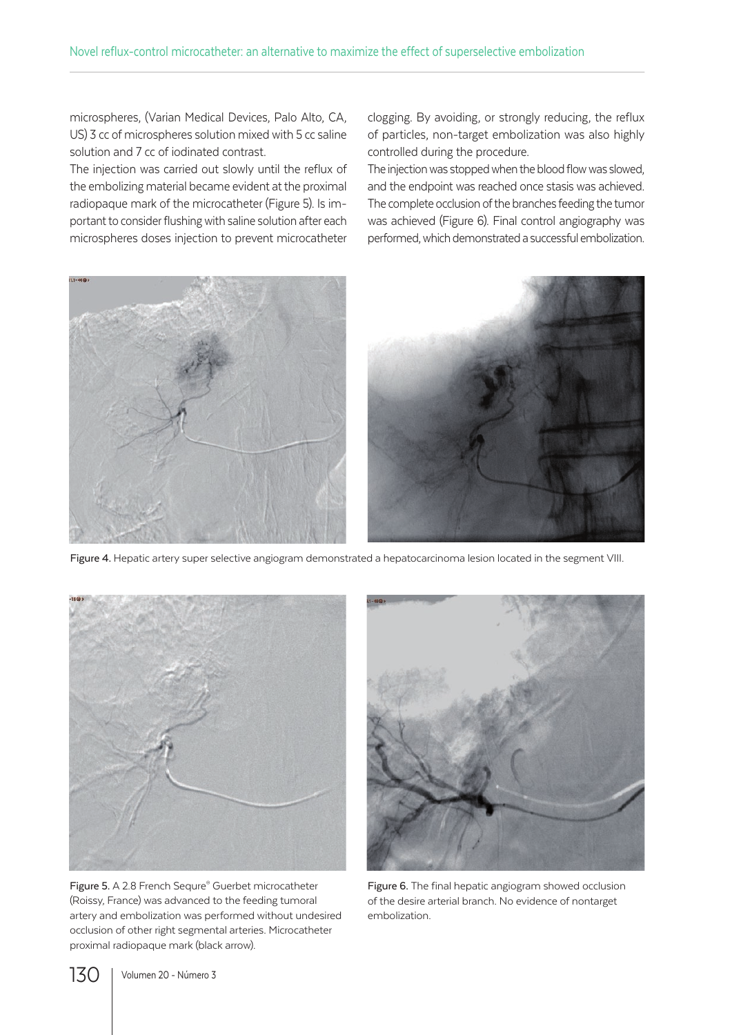microspheres, (Varian Medical Devices, Palo Alto, CA, US) 3 cc of microspheres solution mixed with 5 cc saline solution and 7 cc of iodinated contrast.

The injection was carried out slowly until the reflux of the embolizing material became evident at the proximal radiopaque mark of the microcatheter (Figure 5). Is important to consider flushing with saline solution after each microspheres doses injection to prevent microcatheter clogging. By avoiding, or strongly reducing, the reflux of particles, non-target embolization was also highly controlled during the procedure.

The injection was stopped when the blood flow was slowed, and the endpoint was reached once stasis was achieved. The complete occlusion of the branches feeding the tumor was achieved (Figure 6). Final control angiography was performed, which demonstrated a successful embolization.



Figure 4. Hepatic artery super selective angiogram demonstrated a hepatocarcinoma lesion located in the segment VIII.



Figure 5. A 2.8 French Sequre® Guerbet microcatheter (Roissy, France) was advanced to the feeding tumoral artery and embolization was performed without undesired occlusion of other right segmental arteries. Microcatheter proximal radiopaque mark (black arrow).



Figure 6. The final hepatic angiogram showed occlusion of the desire arterial branch. No evidence of nontarget embolization.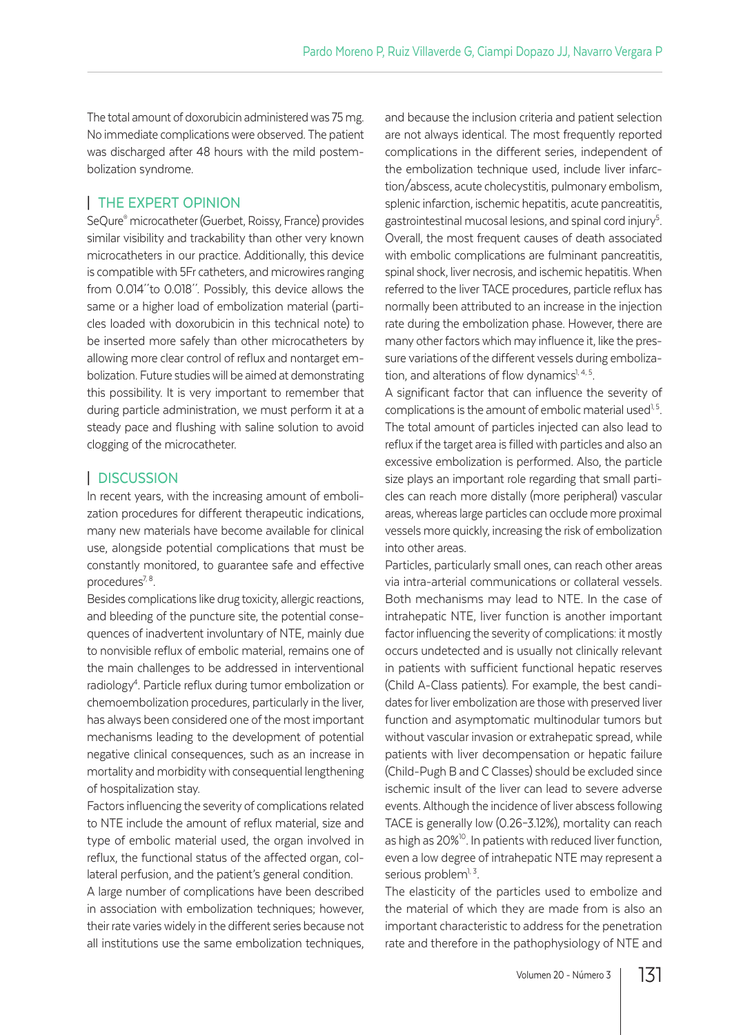The total amount of doxorubicin administered was 75 mg. No immediate complications were observed. The patient was discharged after 48 hours with the mild postembolization syndrome.

# | THE EXPERT OPINION

SeQure® microcatheter (Guerbet, Roissy, France) provides similar visibility and trackability than other very known microcatheters in our practice. Additionally, this device is compatible with 5Fr catheters, and microwires ranging from 0.014´´to 0.018´´. Possibly, this device allows the same or a higher load of embolization material (particles loaded with doxorubicin in this technical note) to be inserted more safely than other microcatheters by allowing more clear control of reflux and nontarget embolization. Future studies will be aimed at demonstrating this possibility. It is very important to remember that during particle administration, we must perform it at a steady pace and flushing with saline solution to avoid clogging of the microcatheter.

# | DISCUSSION

In recent years, with the increasing amount of embolization procedures for different therapeutic indications, many new materials have become available for clinical use, alongside potential complications that must be constantly monitored, to guarantee safe and effective procedures $^{7, 8}$ .

Besides complications like drug toxicity, allergic reactions, and bleeding of the puncture site, the potential consequences of inadvertent involuntary of NTE, mainly due to nonvisible reflux of embolic material, remains one of the main challenges to be addressed in interventional radiology<sup>4</sup>. Particle reflux during tumor embolization or chemoembolization procedures, particularly in the liver, has always been considered one of the most important mechanisms leading to the development of potential negative clinical consequences, such as an increase in mortality and morbidity with consequential lengthening of hospitalization stay.

Factors influencing the severity of complications related to NTE include the amount of reflux material, size and type of embolic material used, the organ involved in reflux, the functional status of the affected organ, collateral perfusion, and the patient's general condition.

A large number of complications have been described in association with embolization techniques; however, their rate varies widely in the different series because not all institutions use the same embolization techniques,

and because the inclusion criteria and patient selection are not always identical. The most frequently reported complications in the different series, independent of the embolization technique used, include liver infarction/abscess, acute cholecystitis, pulmonary embolism, splenic infarction, ischemic hepatitis, acute pancreatitis, gastrointestinal mucosal lesions, and spinal cord injury<sup>5</sup>. . Overall, the most frequent causes of death associated with embolic complications are fulminant pancreatitis, spinal shock, liver necrosis, and ischemic hepatitis. When referred to the liver TACE procedures, particle reflux has normally been attributed to an increase in the injection rate during the embolization phase. However, there are many other factors which may influence it, like the pressure variations of the different vessels during embolization, and alterations of flow dynamics<sup> $1, 4, 5$ </sup>.

A significant factor that can influence the severity of complications is the amount of embolic material used<sup>1,5</sup>. The total amount of particles injected can also lead to reflux if the target area is filled with particles and also an excessive embolization is performed. Also, the particle size plays an important role regarding that small particles can reach more distally (more peripheral) vascular areas, whereas large particles can occlude more proximal vessels more quickly, increasing the risk of embolization into other areas.

Particles, particularly small ones, can reach other areas via intra-arterial communications or collateral vessels. Both mechanisms may lead to NTE. In the case of intrahepatic NTE, liver function is another important factor influencing the severity of complications: it mostly occurs undetected and is usually not clinically relevant in patients with sufficient functional hepatic reserves (Child A-Class patients). For example, the best candidates for liver embolization are those with preserved liver function and asymptomatic multinodular tumors but without vascular invasion or extrahepatic spread, while patients with liver decompensation or hepatic failure (Child-Pugh B and C Classes) should be excluded since ischemic insult of the liver can lead to severe adverse events. Although the incidence of liver abscess following TACE is generally low (0.26–3.12%), mortality can reach as high as 20%<sup>10</sup>. In patients with reduced liver function, even a low degree of intrahepatic NTE may represent a serious problem<sup>1, 3</sup>.

The elasticity of the particles used to embolize and the material of which they are made from is also an important characteristic to address for the penetration rate and therefore in the pathophysiology of NTE and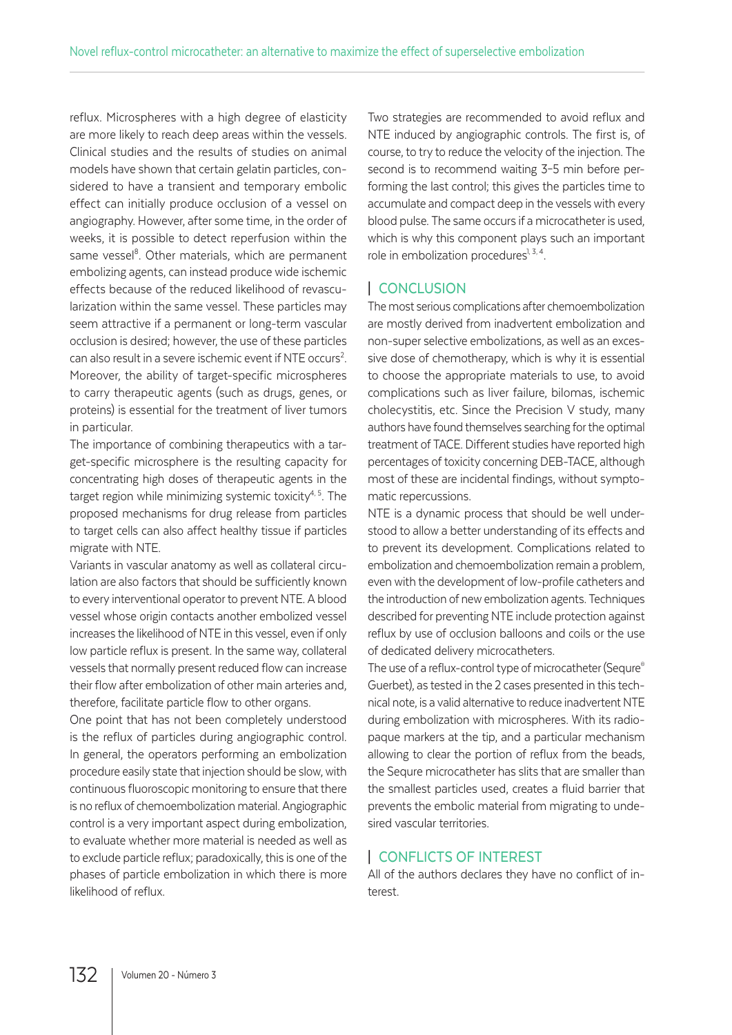reflux. Microspheres with a high degree of elasticity are more likely to reach deep areas within the vessels. Clinical studies and the results of studies on animal models have shown that certain gelatin particles, considered to have a transient and temporary embolic effect can initially produce occlusion of a vessel on angiography. However, after some time, in the order of weeks, it is possible to detect reperfusion within the same vessel<sup>8</sup>. Other materials, which are permanent embolizing agents, can instead produce wide ischemic effects because of the reduced likelihood of revascularization within the same vessel. These particles may seem attractive if a permanent or long-term vascular occlusion is desired; however, the use of these particles can also result in a severe ischemic event if NTE occurs<sup>2</sup>. Moreover, the ability of target-specific microspheres to carry therapeutic agents (such as drugs, genes, or proteins) is essential for the treatment of liver tumors in particular.

The importance of combining therapeutics with a target-specific microsphere is the resulting capacity for concentrating high doses of therapeutic agents in the target region while minimizing systemic toxicity<sup>4, 5</sup>. The proposed mechanisms for drug release from particles to target cells can also affect healthy tissue if particles migrate with NTE.

Variants in vascular anatomy as well as collateral circulation are also factors that should be sufficiently known to every interventional operator to prevent NTE. A blood vessel whose origin contacts another embolized vessel increases the likelihood of NTE in this vessel, even if only low particle reflux is present. In the same way, collateral vessels that normally present reduced flow can increase their flow after embolization of other main arteries and, therefore, facilitate particle flow to other organs.

One point that has not been completely understood is the reflux of particles during angiographic control. In general, the operators performing an embolization procedure easily state that injection should be slow, with continuous fluoroscopic monitoring to ensure that there is no reflux of chemoembolization material. Angiographic control is a very important aspect during embolization, to evaluate whether more material is needed as well as to exclude particle reflux; paradoxically, this is one of the phases of particle embolization in which there is more likelihood of reflux.

Two strategies are recommended to avoid reflux and NTE induced by angiographic controls. The first is, of course, to try to reduce the velocity of the injection. The second is to recommend waiting 3–5 min before performing the last control; this gives the particles time to accumulate and compact deep in the vessels with every blood pulse. The same occurs if a microcatheter is used, which is why this component plays such an important role in embolization procedures $1, 3, 4$ .

# | CONCLUSION

The most serious complications after chemoembolization are mostly derived from inadvertent embolization and non-super selective embolizations, as well as an excessive dose of chemotherapy, which is why it is essential to choose the appropriate materials to use, to avoid complications such as liver failure, bilomas, ischemic cholecystitis, etc. Since the Precision V study, many authors have found themselves searching for the optimal treatment of TACE. Different studies have reported high percentages of toxicity concerning DEB-TACE, although most of these are incidental findings, without symptomatic repercussions.

NTE is a dynamic process that should be well understood to allow a better understanding of its effects and to prevent its development. Complications related to embolization and chemoembolization remain a problem, even with the development of low-profile catheters and the introduction of new embolization agents. Techniques described for preventing NTE include protection against reflux by use of occlusion balloons and coils or the use of dedicated delivery microcatheters.

The use of a reflux-control type of microcatheter (Sequre® Guerbet), as tested in the 2 cases presented in this technical note, is a valid alternative to reduce inadvertent NTE during embolization with microspheres. With its radiopaque markers at the tip, and a particular mechanism allowing to clear the portion of reflux from the beads, the Sequre microcatheter has slits that are smaller than the smallest particles used, creates a fluid barrier that prevents the embolic material from migrating to undesired vascular territories.

# | CONFLICTS OF INTEREST

All of the authors declares they have no conflict of interest.